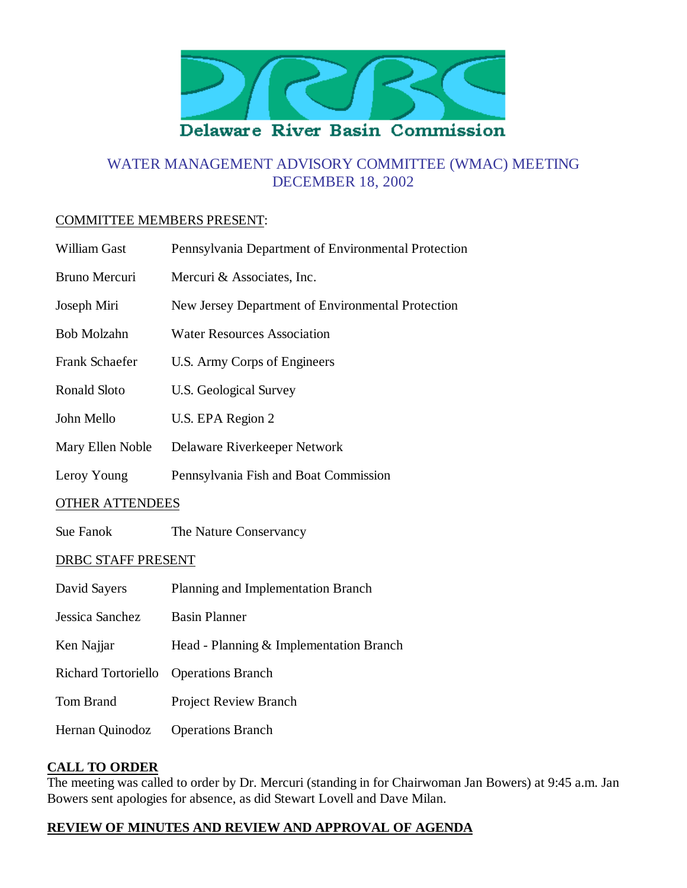

# WATER MANAGEMENT ADVISORY COMMITTEE (WMAC) MEETING DECEMBER 18, 2002

#### COMMITTEE MEMBERS PRESENT:

| William Gast               | Pennsylvania Department of Environmental Protection |
|----------------------------|-----------------------------------------------------|
| <b>Bruno Mercuri</b>       | Mercuri & Associates, Inc.                          |
| Joseph Miri                | New Jersey Department of Environmental Protection   |
| <b>Bob Molzahn</b>         | <b>Water Resources Association</b>                  |
| Frank Schaefer             | U.S. Army Corps of Engineers                        |
| Ronald Sloto               | <b>U.S. Geological Survey</b>                       |
| John Mello                 | U.S. EPA Region 2                                   |
| Mary Ellen Noble           | Delaware Riverkeeper Network                        |
| Leroy Young                | Pennsylvania Fish and Boat Commission               |
| <b>OTHER ATTENDEES</b>     |                                                     |
| Sue Fanok                  | The Nature Conservancy                              |
| DRBC STAFF PRESENT         |                                                     |
| David Sayers               | Planning and Implementation Branch                  |
| Jessica Sanchez            | <b>Basin Planner</b>                                |
| Ken Najjar                 | Head - Planning & Implementation Branch             |
| <b>Richard Tortoriello</b> | <b>Operations Branch</b>                            |
| Tom Brand                  | <b>Project Review Branch</b>                        |
| Hernan Quinodoz            | <b>Operations Branch</b>                            |

#### **CALL TO ORDER**

The meeting was called to order by Dr. Mercuri (standing in for Chairwoman Jan Bowers) at 9:45 a.m. Jan Bowers sent apologies for absence, as did Stewart Lovell and Dave Milan.

### **REVIEW OF MINUTES AND REVIEW AND APPROVAL OF AGENDA**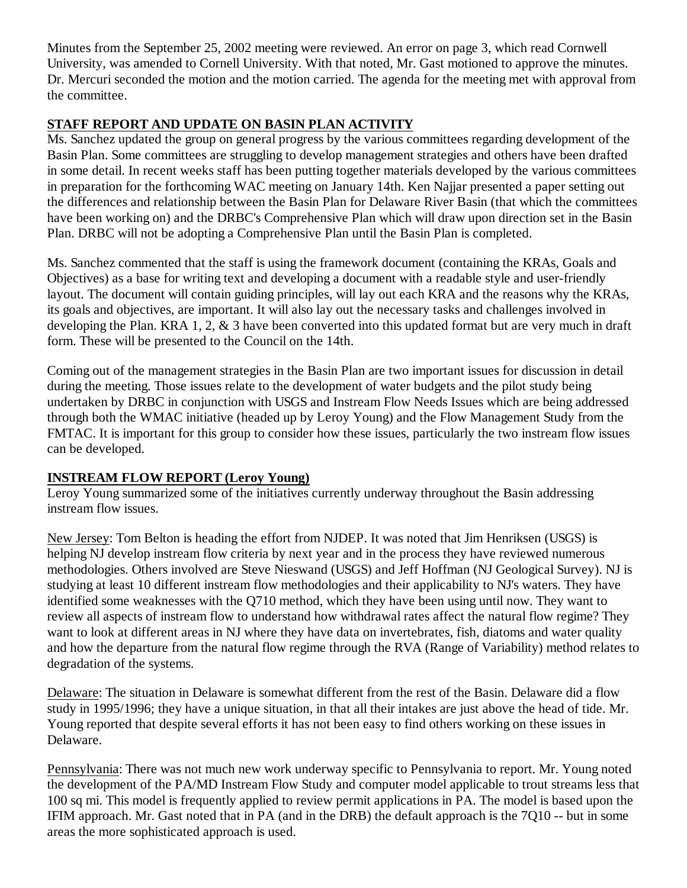Minutes from the September 25, 2002 meeting were reviewed. An error on page 3, which read Cornwell University, was amended to Cornell University. With that noted, Mr. Gast motioned to approve the minutes. Dr. Mercuri seconded the motion and the motion carried. The agenda for the meeting met with approval from the committee.

# **STAFF REPORT AND UPDATE ON BASIN PLAN ACTIVITY**

Ms. Sanchez updated the group on general progress by the various committees regarding development of the Basin Plan. Some committees are struggling to develop management strategies and others have been drafted in some detail. In recent weeks staff has been putting together materials developed by the various committees in preparation for the forthcoming WAC meeting on January 14th. Ken Najjar presented a paper setting out the differences and relationship between the Basin Plan for Delaware River Basin (that which the committees have been working on) and the DRBC's Comprehensive Plan which will draw upon direction set in the Basin Plan. DRBC will not be adopting a Comprehensive Plan until the Basin Plan is completed.

Ms. Sanchez commented that the staff is using the framework document (containing the KRAs, Goals and Objectives) as a base for writing text and developing a document with a readable style and user-friendly layout. The document will contain guiding principles, will lay out each KRA and the reasons why the KRAs, its goals and objectives, are important. It will also lay out the necessary tasks and challenges involved in developing the Plan. KRA 1, 2, & 3 have been converted into this updated format but are very much in draft form. These will be presented to the Council on the 14th.

Coming out of the management strategies in the Basin Plan are two important issues for discussion in detail during the meeting. Those issues relate to the development of water budgets and the pilot study being undertaken by DRBC in conjunction with USGS and Instream Flow Needs Issues which are being addressed through both the WMAC initiative (headed up by Leroy Young) and the Flow Management Study from the FMTAC. It is important for this group to consider how these issues, particularly the two instream flow issues can be developed.

## **INSTREAM FLOW REPORT (Leroy Young)**

Leroy Young summarized some of the initiatives currently underway throughout the Basin addressing instream flow issues.

New Jersey: Tom Belton is heading the effort from NJDEP. It was noted that Jim Henriksen (USGS) is helping NJ develop instream flow criteria by next year and in the process they have reviewed numerous methodologies. Others involved are Steve Nieswand (USGS) and Jeff Hoffman (NJ Geological Survey). NJ is studying at least 10 different instream flow methodologies and their applicability to NJ's waters. They have identified some weaknesses with the Q710 method, which they have been using until now. They want to review all aspects of instream flow to understand how withdrawal rates affect the natural flow regime? They want to look at different areas in NJ where they have data on invertebrates, fish, diatoms and water quality and how the departure from the natural flow regime through the RVA (Range of Variability) method relates to degradation of the systems.

Delaware: The situation in Delaware is somewhat different from the rest of the Basin. Delaware did a flow study in 1995/1996; they have a unique situation, in that all their intakes are just above the head of tide. Mr. Young reported that despite several efforts it has not been easy to find others working on these issues in Delaware.

Pennsylvania: There was not much new work underway specific to Pennsylvania to report. Mr. Young noted the development of the PA/MD Instream Flow Study and computer model applicable to trout streams less that 100 sq mi. This model is frequently applied to review permit applications in PA. The model is based upon the IFIM approach. Mr. Gast noted that in PA (and in the DRB) the default approach is the 7Q10 -- but in some areas the more sophisticated approach is used.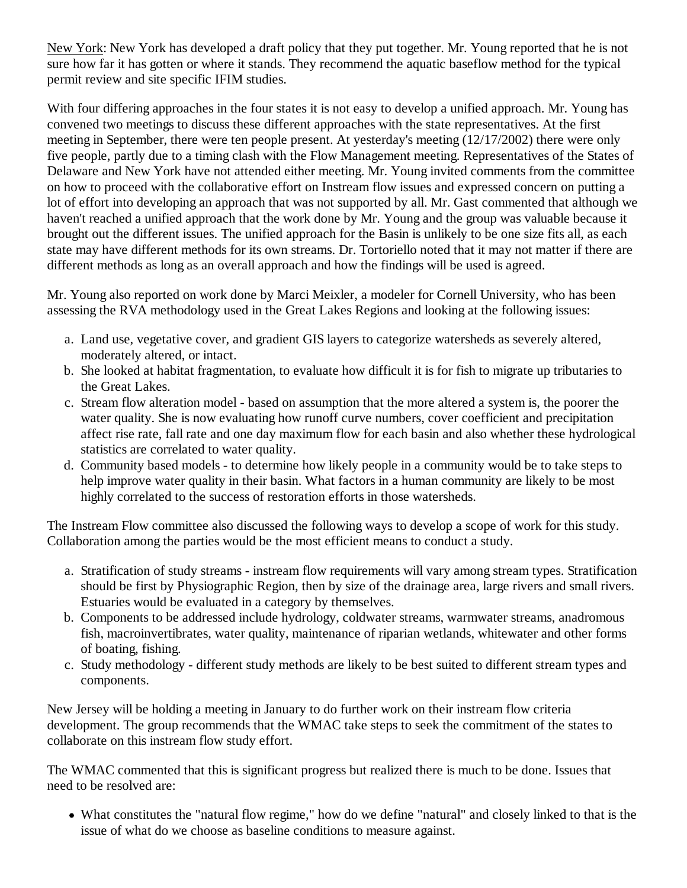New York: New York has developed a draft policy that they put together. Mr. Young reported that he is not sure how far it has gotten or where it stands. They recommend the aquatic baseflow method for the typical permit review and site specific IFIM studies.

With four differing approaches in the four states it is not easy to develop a unified approach. Mr. Young has convened two meetings to discuss these different approaches with the state representatives. At the first meeting in September, there were ten people present. At yesterday's meeting (12/17/2002) there were only five people, partly due to a timing clash with the Flow Management meeting. Representatives of the States of Delaware and New York have not attended either meeting. Mr. Young invited comments from the committee on how to proceed with the collaborative effort on Instream flow issues and expressed concern on putting a lot of effort into developing an approach that was not supported by all. Mr. Gast commented that although we haven't reached a unified approach that the work done by Mr. Young and the group was valuable because it brought out the different issues. The unified approach for the Basin is unlikely to be one size fits all, as each state may have different methods for its own streams. Dr. Tortoriello noted that it may not matter if there are different methods as long as an overall approach and how the findings will be used is agreed.

Mr. Young also reported on work done by Marci Meixler, a modeler for Cornell University, who has been assessing the RVA methodology used in the Great Lakes Regions and looking at the following issues:

- a. Land use, vegetative cover, and gradient GIS layers to categorize watersheds as severely altered, moderately altered, or intact.
- b. She looked at habitat fragmentation, to evaluate how difficult it is for fish to migrate up tributaries to the Great Lakes.
- c. Stream flow alteration model based on assumption that the more altered a system is, the poorer the water quality. She is now evaluating how runoff curve numbers, cover coefficient and precipitation affect rise rate, fall rate and one day maximum flow for each basin and also whether these hydrological statistics are correlated to water quality.
- d. Community based models to determine how likely people in a community would be to take steps to help improve water quality in their basin. What factors in a human community are likely to be most highly correlated to the success of restoration efforts in those watersheds.

The Instream Flow committee also discussed the following ways to develop a scope of work for this study. Collaboration among the parties would be the most efficient means to conduct a study.

- a. Stratification of study streams instream flow requirements will vary among stream types. Stratification should be first by Physiographic Region, then by size of the drainage area, large rivers and small rivers. Estuaries would be evaluated in a category by themselves.
- b. Components to be addressed include hydrology, coldwater streams, warmwater streams, anadromous fish, macroinvertibrates, water quality, maintenance of riparian wetlands, whitewater and other forms of boating, fishing.
- c. Study methodology different study methods are likely to be best suited to different stream types and components.

New Jersey will be holding a meeting in January to do further work on their instream flow criteria development. The group recommends that the WMAC take steps to seek the commitment of the states to collaborate on this instream flow study effort.

The WMAC commented that this is significant progress but realized there is much to be done. Issues that need to be resolved are:

What constitutes the "natural flow regime," how do we define "natural" and closely linked to that is the issue of what do we choose as baseline conditions to measure against.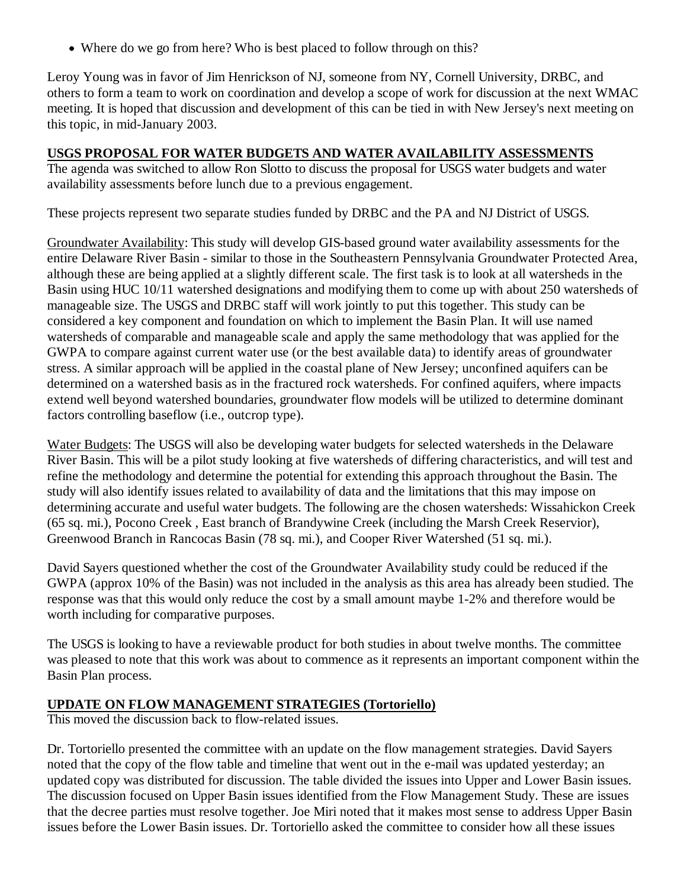Where do we go from here? Who is best placed to follow through on this?

Leroy Young was in favor of Jim Henrickson of NJ, someone from NY, Cornell University, DRBC, and others to form a team to work on coordination and develop a scope of work for discussion at the next WMAC meeting. It is hoped that discussion and development of this can be tied in with New Jersey's next meeting on this topic, in mid-January 2003.

### **USGS PROPOSAL FOR WATER BUDGETS AND WATER AVAILABILITY ASSESSMENTS**

The agenda was switched to allow Ron Slotto to discuss the proposal for USGS water budgets and water availability assessments before lunch due to a previous engagement.

These projects represent two separate studies funded by DRBC and the PA and NJ District of USGS.

Groundwater Availability: This study will develop GIS-based ground water availability assessments for the entire Delaware River Basin - similar to those in the Southeastern Pennsylvania Groundwater Protected Area, although these are being applied at a slightly different scale. The first task is to look at all watersheds in the Basin using HUC 10/11 watershed designations and modifying them to come up with about 250 watersheds of manageable size. The USGS and DRBC staff will work jointly to put this together. This study can be considered a key component and foundation on which to implement the Basin Plan. It will use named watersheds of comparable and manageable scale and apply the same methodology that was applied for the GWPA to compare against current water use (or the best available data) to identify areas of groundwater stress. A similar approach will be applied in the coastal plane of New Jersey; unconfined aquifers can be determined on a watershed basis as in the fractured rock watersheds. For confined aquifers, where impacts extend well beyond watershed boundaries, groundwater flow models will be utilized to determine dominant factors controlling baseflow (i.e., outcrop type).

Water Budgets: The USGS will also be developing water budgets for selected watersheds in the Delaware River Basin. This will be a pilot study looking at five watersheds of differing characteristics, and will test and refine the methodology and determine the potential for extending this approach throughout the Basin. The study will also identify issues related to availability of data and the limitations that this may impose on determining accurate and useful water budgets. The following are the chosen watersheds: Wissahickon Creek (65 sq. mi.), Pocono Creek , East branch of Brandywine Creek (including the Marsh Creek Reservior), Greenwood Branch in Rancocas Basin (78 sq. mi.), and Cooper River Watershed (51 sq. mi.).

David Sayers questioned whether the cost of the Groundwater Availability study could be reduced if the GWPA (approx 10% of the Basin) was not included in the analysis as this area has already been studied. The response was that this would only reduce the cost by a small amount maybe 1-2% and therefore would be worth including for comparative purposes.

The USGS is looking to have a reviewable product for both studies in about twelve months. The committee was pleased to note that this work was about to commence as it represents an important component within the Basin Plan process.

### **UPDATE ON FLOW MANAGEMENT STRATEGIES (Tortoriello)**

This moved the discussion back to flow-related issues.

Dr. Tortoriello presented the committee with an update on the flow management strategies. David Sayers noted that the copy of the flow table and timeline that went out in the e-mail was updated yesterday; an updated copy was distributed for discussion. The table divided the issues into Upper and Lower Basin issues. The discussion focused on Upper Basin issues identified from the Flow Management Study. These are issues that the decree parties must resolve together. Joe Miri noted that it makes most sense to address Upper Basin issues before the Lower Basin issues. Dr. Tortoriello asked the committee to consider how all these issues